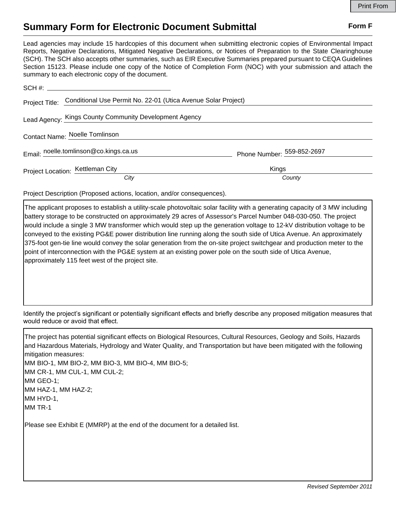## **Summary Form for Electronic Document Submittal Form F Form F**

Lead agencies may include 15 hardcopies of this document when submitting electronic copies of Environmental Impact Reports, Negative Declarations, Mitigated Negative Declarations, or Notices of Preparation to the State Clearinghouse (SCH). The SCH also accepts other summaries, such as EIR Executive Summaries prepared pursuant to CEQA Guidelines Section 15123. Please include one copy of the Notice of Completion Form (NOC) with your submission and attach the summary to each electronic copy of the document.

|                                  | Project Title: Conditional Use Permit No. 22-01 (Utica Avenue Solar Project) |                            |
|----------------------------------|------------------------------------------------------------------------------|----------------------------|
|                                  | Lead Agency: Kings County Community Development Agency                       |                            |
| Contact Name: Noelle Tomlinson   |                                                                              |                            |
|                                  | Email: noelle.tomlinson@co.kings.ca.us                                       | Phone Number: 559-852-2697 |
| Project Location: Kettleman City |                                                                              | Kings                      |
|                                  | City                                                                         | County                     |

Project Description (Proposed actions, location, and/or consequences).

The applicant proposes to establish a utility-scale photovoltaic solar facility with a generating capacity of 3 MW including battery storage to be constructed on approximately 29 acres of Assessor's Parcel Number 048-030-050. The project would include a single 3 MW transformer which would step up the generation voltage to 12-kV distribution voltage to be conveyed to the existing PG&E power distribution line running along the south side of Utica Avenue. An approximately 375-foot gen-tie line would convey the solar generation from the on-site project switchgear and production meter to the point of interconnection with the PG&E system at an existing power pole on the south side of Utica Avenue, approximately 115 feet west of the project site.

Identify the project's significant or potentially significant effects and briefly describe any proposed mitigation measures that would reduce or avoid that effect.

The project has potential significant effects on Biological Resources, Cultural Resources, Geology and Soils, Hazards and Hazardous Materials, Hydrology and Water Quality, and Transportation but have been mitigated with the following mitigation measures: MM BIO-1, MM BIO-2, MM BIO-3, MM BIO-4, MM BIO-5; MM CR-1, MM CUL-1, MM CUL-2; MM GEO-1; MM HAZ-1, MM HAZ-2; MM HYD-1, MM TR-1

Please see Exhibit E (MMRP) at the end of the document for a detailed list.